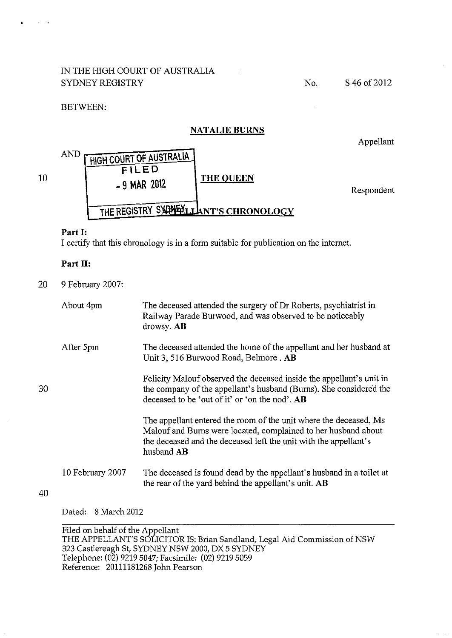# IN THE HIGH COURT OF AUSTRALIA SYDNEY REGISTRY

No. S 46 of 2012

# BETWEEN:

# **NATALIE BURNS**

Appellant



# **Part 1:**

10

30

40

I certify that this chronology is in a form suitable for publication on the internet.

# **Part II:**

20 9 February 2007:

| About 4pm        | The deceased attended the surgery of Dr Roberts, psychiatrist in<br>Railway Parade Burwood, and was observed to be noticeably<br>drowsy. AB                                                                           |
|------------------|-----------------------------------------------------------------------------------------------------------------------------------------------------------------------------------------------------------------------|
| After 5pm        | The deceased attended the home of the appellant and her husband at<br>Unit 3, 516 Burwood Road, Belmore. AB                                                                                                           |
|                  | Felicity Malouf observed the deceased inside the appellant's unit in<br>the company of the appellant's husband (Burns). She considered the<br>deceased to be 'out of it' or 'on the nod'. AB                          |
|                  | The appellant entered the room of the unit where the deceased, Ms<br>Malouf and Burns were located, complained to her husband about<br>the deceased and the deceased left the unit with the appellant's<br>husband AB |
| 10 February 2007 | The deceased is found dead by the appellant's husband in a toilet at<br>the rear of the yard behind the appellant's unit. AB                                                                                          |

Dated: 8 March 2012

Filed on behalf of the Appellant THE APPELLANT'S SOLICITOR IS: Brian Sandland, Legal Aid Commission of NSW 323 Castlereagh St, SYDNEY NSW 2000, DX 5 SYDNEY Telephone: (02) 9219 5047; Facsimile: (02) 9219 5059 Reference: 20111181268 John Pearson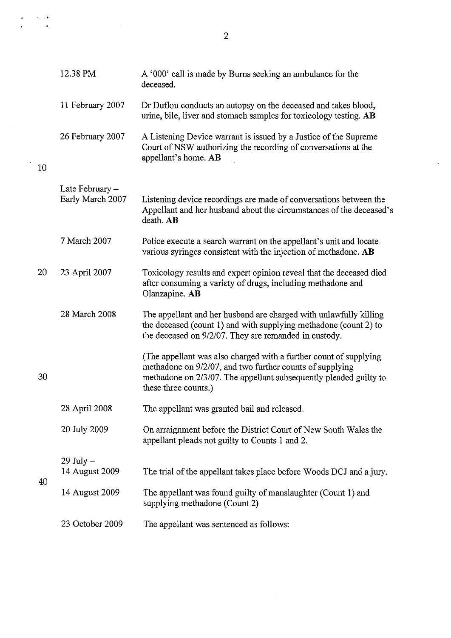|    | 12.38 PM                            | A '000' call is made by Burns seeking an ambulance for the<br>deceased.                                                                                                                                                    |
|----|-------------------------------------|----------------------------------------------------------------------------------------------------------------------------------------------------------------------------------------------------------------------------|
|    | 11 February 2007                    | Dr Duflou conducts an autopsy on the deceased and takes blood,<br>urine, bile, liver and stomach samples for toxicology testing. AB                                                                                        |
| 10 | 26 February 2007                    | A Listening Device warrant is issued by a Justice of the Supreme<br>Court of NSW authorizing the recording of conversations at the<br>appellant's home. AB                                                                 |
|    |                                     |                                                                                                                                                                                                                            |
|    | Late February -<br>Early March 2007 | Listening device recordings are made of conversations between the<br>Appellant and her husband about the circumstances of the deceased's<br>death. AB                                                                      |
|    | 7 March 2007                        | Police execute a search warrant on the appellant's unit and locate<br>various syringes consistent with the injection of methadone. AB                                                                                      |
| 20 | 23 April 2007                       | Toxicology results and expert opinion reveal that the deceased died<br>after consuming a variety of drugs, including methadone and<br>Olanzapine. AB                                                                       |
|    | 28 March 2008                       | The appellant and her husband are charged with unlawfully killing<br>the deceased (count 1) and with supplying methadone (count 2) to<br>the deceased on 9/2/07. They are remanded in custody.                             |
| 30 |                                     | (The appellant was also charged with a further count of supplying<br>methadone on 9/2/07, and two further counts of supplying<br>methadone on 2/3/07. The appellant subsequently pleaded guilty to<br>these three counts.) |
|    | 28 April 2008                       | The appellant was granted bail and released.                                                                                                                                                                               |
|    | 20 July 2009                        | On arraignment before the District Court of New South Wales the<br>appellant pleads not guilty to Counts 1 and 2.                                                                                                          |
|    | $29$ July $-$                       |                                                                                                                                                                                                                            |
| 40 | 14 August 2009                      | The trial of the appellant takes place before Woods DCJ and a jury.                                                                                                                                                        |
|    | 14 August 2009                      | The appellant was found guilty of manslaughter (Count 1) and<br>supplying methadone (Count 2)                                                                                                                              |
|    | 23 October 2009                     | The appellant was sentenced as follows:                                                                                                                                                                                    |

 $\sim 10^{-1}$ 

 $\langle \cdot \rangle$ 

 $\begin{array}{l} \mathbf{y} = \mathbf{y} \times \mathbf{y} \\ \mathbf{y} = \mathbf{y} \times \mathbf{y} \end{array}$ 

 $\frac{1}{2}$  ,  $\frac{1}{2}$